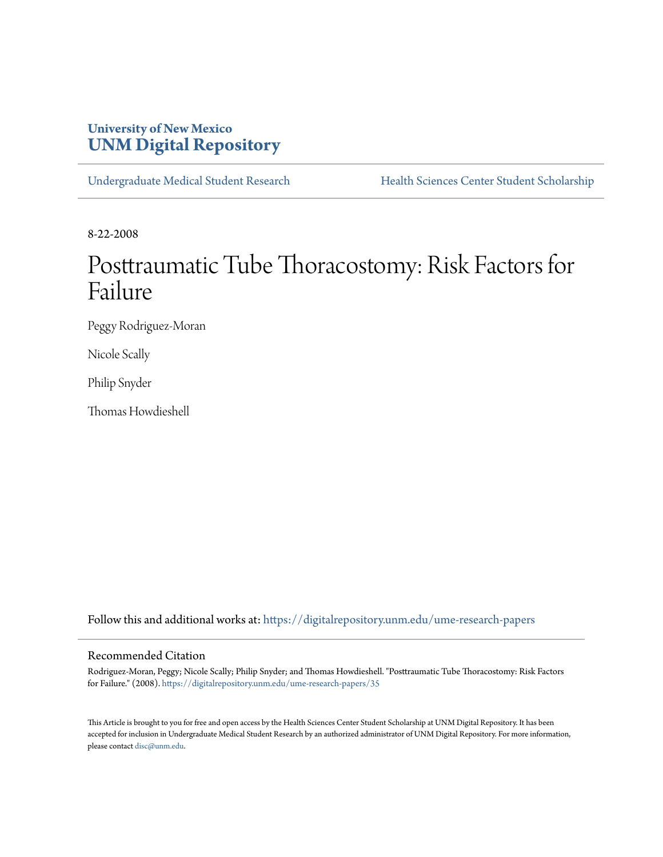# **University of New Mexico [UNM Digital Repository](https://digitalrepository.unm.edu?utm_source=digitalrepository.unm.edu%2Fume-research-papers%2F35&utm_medium=PDF&utm_campaign=PDFCoverPages)**

[Undergraduate Medical Student Research](https://digitalrepository.unm.edu/ume-research-papers?utm_source=digitalrepository.unm.edu%2Fume-research-papers%2F35&utm_medium=PDF&utm_campaign=PDFCoverPages) [Health Sciences Center Student Scholarship](https://digitalrepository.unm.edu/hsc-students?utm_source=digitalrepository.unm.edu%2Fume-research-papers%2F35&utm_medium=PDF&utm_campaign=PDFCoverPages)

8-22-2008

# Posttraumatic Tube Thoracostomy: Risk Factors for Failure

Peggy Rodriguez-Moran

Nicole Scally

Philip Snyder

Thomas Howdieshell

Follow this and additional works at: [https://digitalrepository.unm.edu/ume-research-papers](https://digitalrepository.unm.edu/ume-research-papers?utm_source=digitalrepository.unm.edu%2Fume-research-papers%2F35&utm_medium=PDF&utm_campaign=PDFCoverPages)

# Recommended Citation

Rodriguez-Moran, Peggy; Nicole Scally; Philip Snyder; and Thomas Howdieshell. "Posttraumatic Tube Thoracostomy: Risk Factors for Failure." (2008). [https://digitalrepository.unm.edu/ume-research-papers/35](https://digitalrepository.unm.edu/ume-research-papers/35?utm_source=digitalrepository.unm.edu%2Fume-research-papers%2F35&utm_medium=PDF&utm_campaign=PDFCoverPages)

This Article is brought to you for free and open access by the Health Sciences Center Student Scholarship at UNM Digital Repository. It has been accepted for inclusion in Undergraduate Medical Student Research by an authorized administrator of UNM Digital Repository. For more information, please contact [disc@unm.edu.](mailto:disc@unm.edu)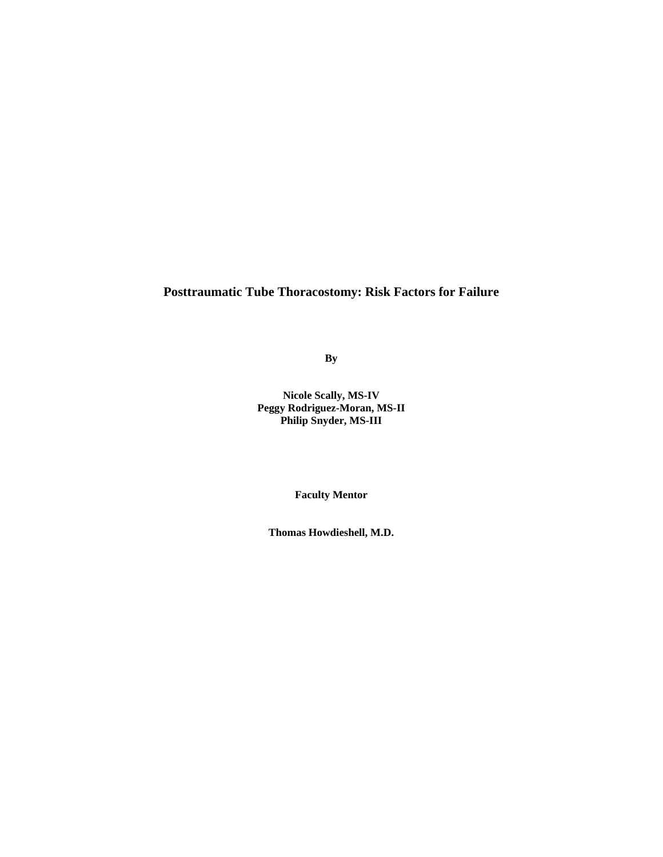# **Posttraumatic Tube Thoracostomy: Risk Factors for Failure**

**By** 

**Nicole Scally, MS-IV Peggy Rodriguez-Moran, MS-II Philip Snyder, MS-III** 

**Faculty Mentor** 

**Thomas Howdieshell, M.D.**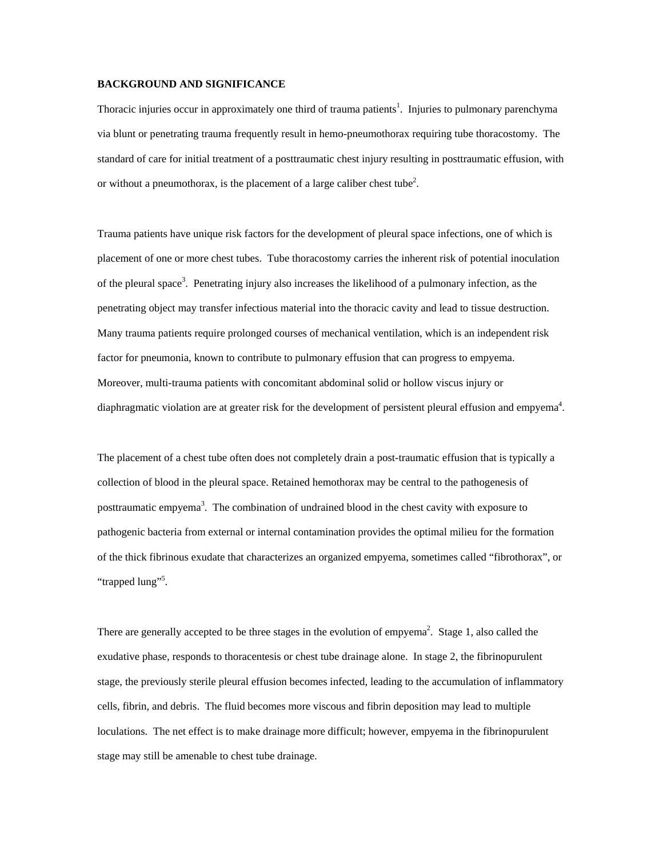## **BACKGROUND AND SIGNIFICANCE**

Thoracic injuries occur in approximately one third of trauma patients<sup>1</sup>. Injuries to pulmonary parenchyma via blunt or penetrating trauma frequently result in hemo-pneumothorax requiring tube thoracostomy. The standard of care for initial treatment of a posttraumatic chest injury resulting in posttraumatic effusion, with or without a pneumothorax, is the placement of a large caliber chest tube<sup>2</sup>.

Trauma patients have unique risk factors for the development of pleural space infections, one of which is placement of one or more chest tubes. Tube thoracostomy carries the inherent risk of potential inoculation of the pleural space<sup>3</sup>. Penetrating injury also increases the likelihood of a pulmonary infection, as the penetrating object may transfer infectious material into the thoracic cavity and lead to tissue destruction. Many trauma patients require prolonged courses of mechanical ventilation, which is an independent risk factor for pneumonia, known to contribute to pulmonary effusion that can progress to empyema. Moreover, multi-trauma patients with concomitant abdominal solid or hollow viscus injury or diaphragmatic violation are at greater risk for the development of persistent pleural effusion and empyema<sup>4</sup>.

The placement of a chest tube often does not completely drain a post-traumatic effusion that is typically a collection of blood in the pleural space. Retained hemothorax may be central to the pathogenesis of posttraumatic empyema<sup>3</sup>. The combination of undrained blood in the chest cavity with exposure to pathogenic bacteria from external or internal contamination provides the optimal milieu for the formation of the thick fibrinous exudate that characterizes an organized empyema, sometimes called "fibrothorax", or "trapped lung"<sup>5</sup>.

There are generally accepted to be three stages in the evolution of empyema<sup>2</sup>. Stage 1, also called the exudative phase, responds to thoracentesis or chest tube drainage alone. In stage 2, the fibrinopurulent stage, the previously sterile pleural effusion becomes infected, leading to the accumulation of inflammatory cells, fibrin, and debris. The fluid becomes more viscous and fibrin deposition may lead to multiple loculations. The net effect is to make drainage more difficult; however, empyema in the fibrinopurulent stage may still be amenable to chest tube drainage.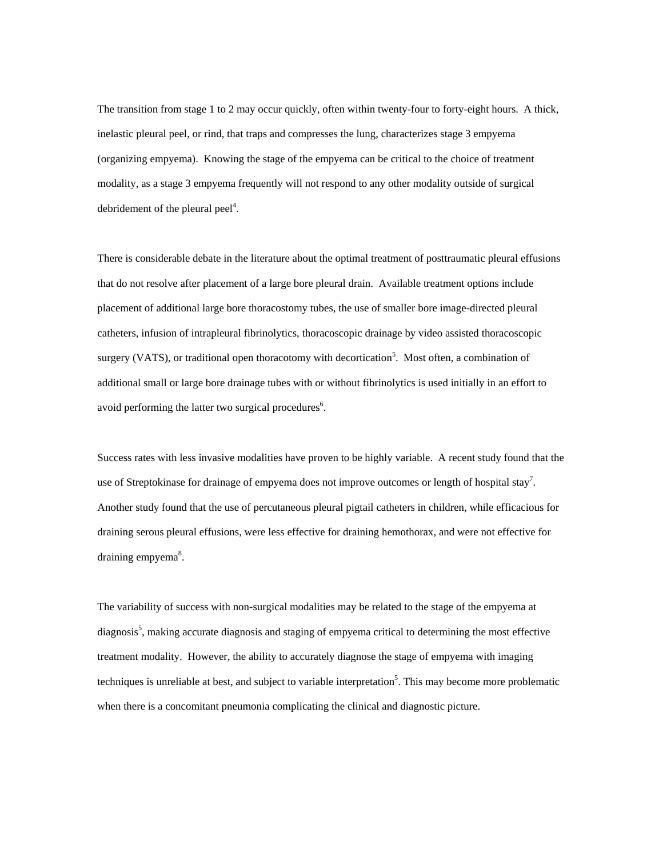The transition from stage 1 to 2 may occur quickly, often within twenty-four to forty-eight hours. A thick, inelastic pleural peel, or rind, that traps and compresses the lung, characterizes stage 3 empyema (organizing empyema). Knowing the stage of the empyema can be critical to the choice of treatment modality, as a stage 3 empyema frequently will not respond to any other modality outside of surgical debridement of the pleural peel $4$ .

There is considerable debate in the literature about the optimal treatment of posttraumatic pleural effusions that do not resolve after placement of a large bore pleural drain. Available treatment options include placement of additional large bore thoracostomy tubes, the use of smaller bore image-directed pleural catheters, infusion of intrapleural fibrinolytics, thoracoscopic drainage by video assisted thoracoscopic surgery (VATS), or traditional open thoracotomy with decortication<sup>5</sup>. Most often, a combination of additional small or large bore drainage tubes with or without fibrinolytics is used initially in an effort to avoid performing the latter two surgical procedures<sup>6</sup>.

Success rates with less invasive modalities have proven to be highly variable. A recent study found that the use of Streptokinase for drainage of empyema does not improve outcomes or length of hospital stay<sup>7</sup>. Another study found that the use of percutaneous pleural pigtail catheters in children, while efficacious for draining serous pleural effusions, were less effective for draining hemothorax, and were not effective for draining empyema<sup>8</sup>.

The variability of success with non-surgical modalities may be related to the stage of the empyema at diagnosis<sup>5</sup>, making accurate diagnosis and staging of empyema critical to determining the most effective treatment modality. However, the ability to accurately diagnose the stage of empyema with imaging techniques is unreliable at best, and subject to variable interpretation<sup>5</sup>. This may become more problematic when there is a concomitant pneumonia complicating the clinical and diagnostic picture.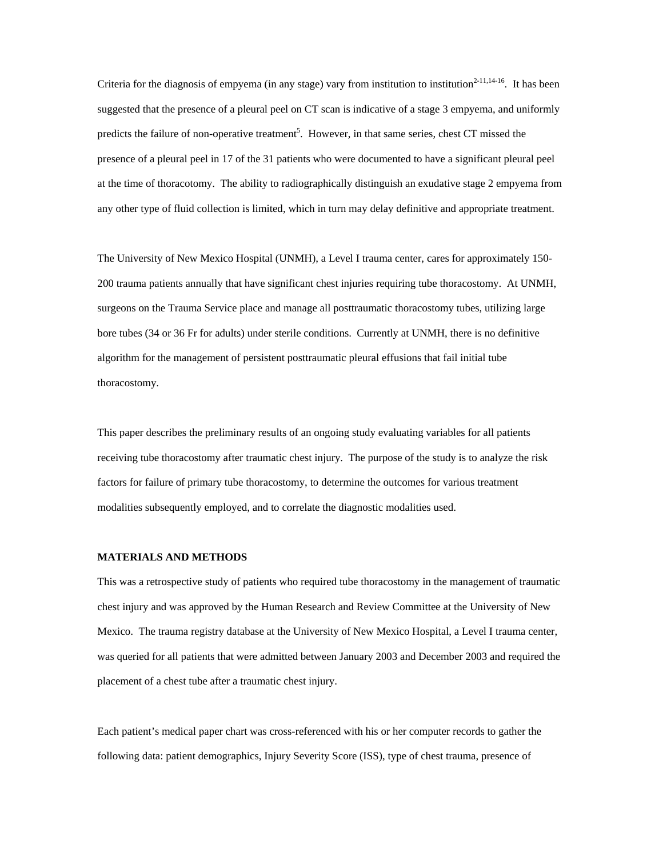Criteria for the diagnosis of empyema (in any stage) vary from institution to institution<sup>2-11,14-16</sup>. It has been suggested that the presence of a pleural peel on CT scan is indicative of a stage 3 empyema, and uniformly predicts the failure of non-operative treatment<sup>5</sup>. However, in that same series, chest CT missed the presence of a pleural peel in 17 of the 31 patients who were documented to have a significant pleural peel at the time of thoracotomy. The ability to radiographically distinguish an exudative stage 2 empyema from any other type of fluid collection is limited, which in turn may delay definitive and appropriate treatment.

The University of New Mexico Hospital (UNMH), a Level I trauma center, cares for approximately 150- 200 trauma patients annually that have significant chest injuries requiring tube thoracostomy. At UNMH, surgeons on the Trauma Service place and manage all posttraumatic thoracostomy tubes, utilizing large bore tubes (34 or 36 Fr for adults) under sterile conditions. Currently at UNMH, there is no definitive algorithm for the management of persistent posttraumatic pleural effusions that fail initial tube thoracostomy.

This paper describes the preliminary results of an ongoing study evaluating variables for all patients receiving tube thoracostomy after traumatic chest injury. The purpose of the study is to analyze the risk factors for failure of primary tube thoracostomy, to determine the outcomes for various treatment modalities subsequently employed, and to correlate the diagnostic modalities used.

#### **MATERIALS AND METHODS**

This was a retrospective study of patients who required tube thoracostomy in the management of traumatic chest injury and was approved by the Human Research and Review Committee at the University of New Mexico. The trauma registry database at the University of New Mexico Hospital, a Level I trauma center, was queried for all patients that were admitted between January 2003 and December 2003 and required the placement of a chest tube after a traumatic chest injury.

Each patient's medical paper chart was cross-referenced with his or her computer records to gather the following data: patient demographics, Injury Severity Score (ISS), type of chest trauma, presence of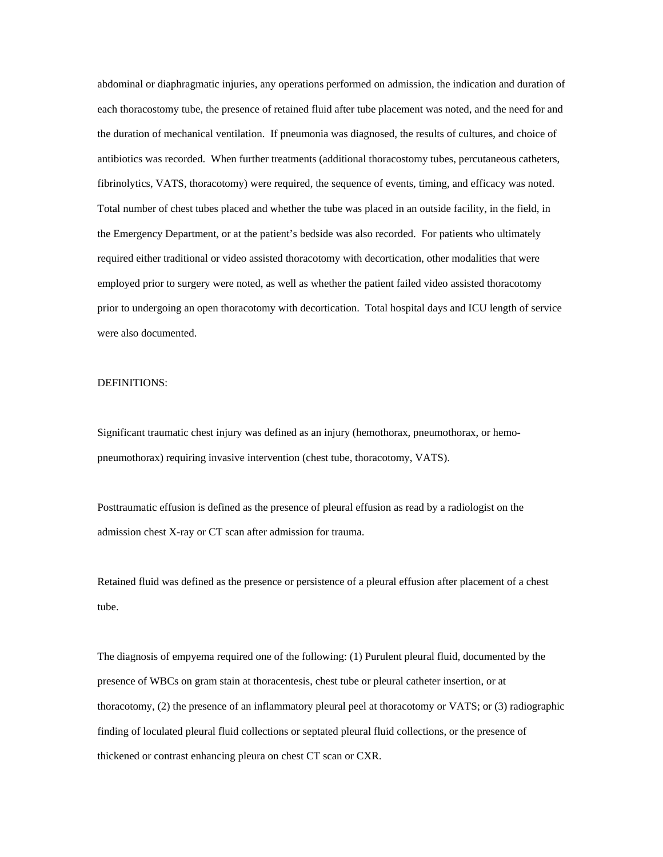abdominal or diaphragmatic injuries, any operations performed on admission, the indication and duration of each thoracostomy tube, the presence of retained fluid after tube placement was noted, and the need for and the duration of mechanical ventilation. If pneumonia was diagnosed, the results of cultures, and choice of antibiotics was recorded. When further treatments (additional thoracostomy tubes, percutaneous catheters, fibrinolytics, VATS, thoracotomy) were required, the sequence of events, timing, and efficacy was noted. Total number of chest tubes placed and whether the tube was placed in an outside facility, in the field, in the Emergency Department, or at the patient's bedside was also recorded. For patients who ultimately required either traditional or video assisted thoracotomy with decortication, other modalities that were employed prior to surgery were noted, as well as whether the patient failed video assisted thoracotomy prior to undergoing an open thoracotomy with decortication. Total hospital days and ICU length of service were also documented.

#### DEFINITIONS:

Significant traumatic chest injury was defined as an injury (hemothorax, pneumothorax, or hemopneumothorax) requiring invasive intervention (chest tube, thoracotomy, VATS).

Posttraumatic effusion is defined as the presence of pleural effusion as read by a radiologist on the admission chest X-ray or CT scan after admission for trauma.

Retained fluid was defined as the presence or persistence of a pleural effusion after placement of a chest tube.

The diagnosis of empyema required one of the following: (1) Purulent pleural fluid, documented by the presence of WBCs on gram stain at thoracentesis, chest tube or pleural catheter insertion, or at thoracotomy, (2) the presence of an inflammatory pleural peel at thoracotomy or VATS; or (3) radiographic finding of loculated pleural fluid collections or septated pleural fluid collections, or the presence of thickened or contrast enhancing pleura on chest CT scan or CXR.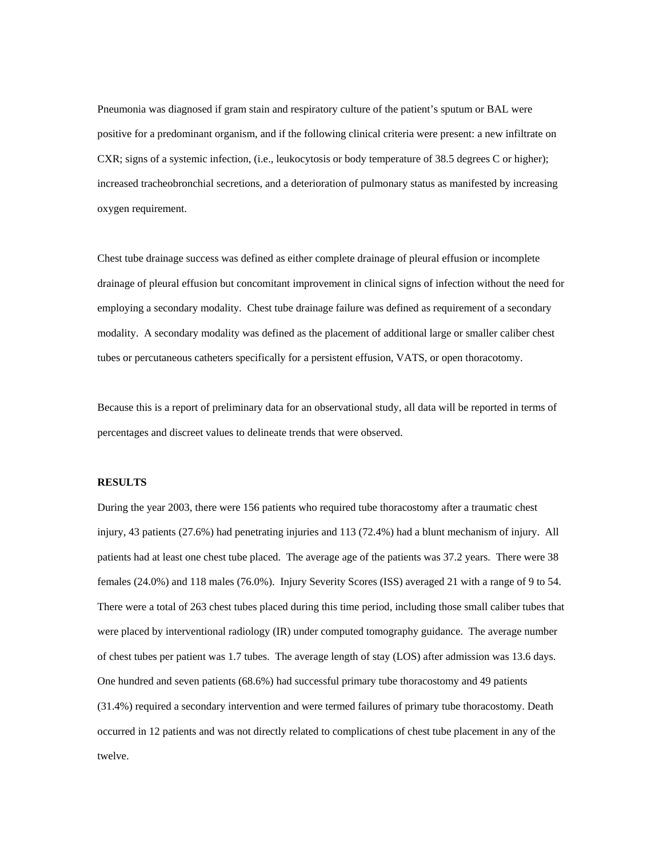Pneumonia was diagnosed if gram stain and respiratory culture of the patient's sputum or BAL were positive for a predominant organism, and if the following clinical criteria were present: a new infiltrate on CXR; signs of a systemic infection, (i.e., leukocytosis or body temperature of 38.5 degrees C or higher); increased tracheobronchial secretions, and a deterioration of pulmonary status as manifested by increasing oxygen requirement.

Chest tube drainage success was defined as either complete drainage of pleural effusion or incomplete drainage of pleural effusion but concomitant improvement in clinical signs of infection without the need for employing a secondary modality. Chest tube drainage failure was defined as requirement of a secondary modality. A secondary modality was defined as the placement of additional large or smaller caliber chest tubes or percutaneous catheters specifically for a persistent effusion, VATS, or open thoracotomy.

Because this is a report of preliminary data for an observational study, all data will be reported in terms of percentages and discreet values to delineate trends that were observed.

# **RESULTS**

During the year 2003, there were 156 patients who required tube thoracostomy after a traumatic chest injury, 43 patients (27.6%) had penetrating injuries and 113 (72.4%) had a blunt mechanism of injury. All patients had at least one chest tube placed. The average age of the patients was 37.2 years. There were 38 females (24.0%) and 118 males (76.0%). Injury Severity Scores (ISS) averaged 21 with a range of 9 to 54. There were a total of 263 chest tubes placed during this time period, including those small caliber tubes that were placed by interventional radiology (IR) under computed tomography guidance. The average number of chest tubes per patient was 1.7 tubes. The average length of stay (LOS) after admission was 13.6 days. One hundred and seven patients (68.6%) had successful primary tube thoracostomy and 49 patients (31.4%) required a secondary intervention and were termed failures of primary tube thoracostomy. Death occurred in 12 patients and was not directly related to complications of chest tube placement in any of the twelve.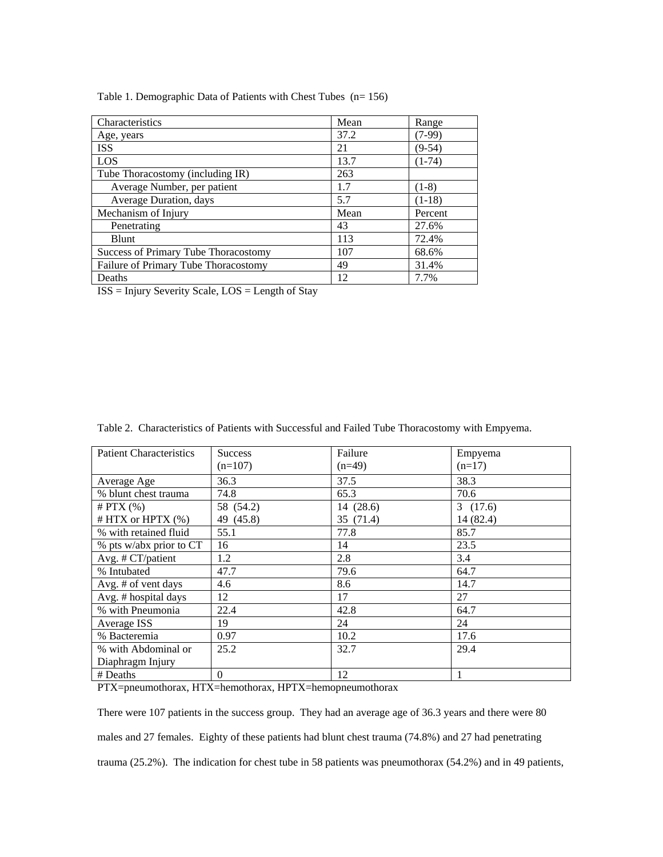|  | Table 1. Demographic Data of Patients with Chest Tubes $(n=156)$ |  |
|--|------------------------------------------------------------------|--|
|  |                                                                  |  |

| Characteristics                      | Mean | Range    |
|--------------------------------------|------|----------|
| Age, years                           | 37.2 | $(7-99)$ |
| <b>ISS</b>                           | 21   | $(9-54)$ |
| LOS                                  | 13.7 | $(1-74)$ |
| Tube Thoracostomy (including IR)     | 263  |          |
| Average Number, per patient          | 1.7  | $(1-8)$  |
| Average Duration, days               | 5.7  | $(1-18)$ |
| Mechanism of Injury                  | Mean | Percent  |
| Penetrating                          | 43   | 27.6%    |
| Blunt                                | 113  | 72.4%    |
| Success of Primary Tube Thoracostomy | 107  | 68.6%    |
| Failure of Primary Tube Thoracostomy | 49   | 31.4%    |
| Deaths                               | 12   | 7.7%     |

ISS = Injury Severity Scale, LOS = Length of Stay

| Table 2. Characteristics of Patients with Successful and Failed Tube Thoracostomy with Empyema. |  |  |  |  |
|-------------------------------------------------------------------------------------------------|--|--|--|--|
|                                                                                                 |  |  |  |  |

| <b>Patient Characteristics</b> | <b>Success</b> | Failure   | Empyema   |  |  |  |
|--------------------------------|----------------|-----------|-----------|--|--|--|
|                                | $(n=107)$      | $(n=49)$  | $(n=17)$  |  |  |  |
| Average Age                    | 36.3           | 37.5      | 38.3      |  |  |  |
| % blunt chest trauma           | 74.8           | 65.3      | 70.6      |  |  |  |
| $#$ PTX $(\%)$                 | 58 (54.2)      | 14 (28.6) | 3(17.6)   |  |  |  |
| # HTX or HPTX (%)              | 49 (45.8)      | 35 (71.4) | 14 (82.4) |  |  |  |
| % with retained fluid          | 55.1           | 77.8      | 85.7      |  |  |  |
| % pts w/abx prior to CT        | 16             | 14        | 23.5      |  |  |  |
| Avg. # CT/patient              | 1.2            | 2.8       | 3.4       |  |  |  |
| % Intubated                    | 47.7           | 79.6      | 64.7      |  |  |  |
| Avg. # of vent days            | 4.6            | 8.6       | 14.7      |  |  |  |
| Avg. # hospital days           | 12             | 17        | 27        |  |  |  |
| % with Pneumonia               | 22.4           | 42.8      | 64.7      |  |  |  |
| Average ISS                    | 19             | 24        | 24        |  |  |  |
| % Bacteremia                   | 0.97           | 10.2      | 17.6      |  |  |  |
| % with Abdominal or            | 25.2           | 32.7      | 29.4      |  |  |  |
| Diaphragm Injury               |                |           |           |  |  |  |
| # Deaths                       | $\Omega$       | 12        | 1         |  |  |  |

PTX=pneumothorax, HTX=hemothorax, HPTX=hemopneumothorax

There were 107 patients in the success group. They had an average age of 36.3 years and there were 80 males and 27 females. Eighty of these patients had blunt chest trauma (74.8%) and 27 had penetrating trauma (25.2%). The indication for chest tube in 58 patients was pneumothorax (54.2%) and in 49 patients,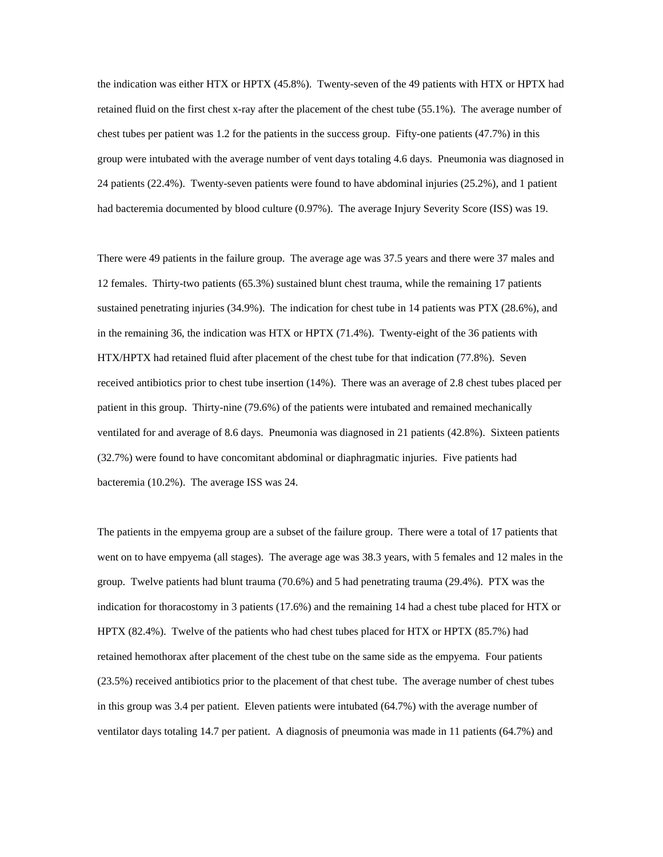the indication was either HTX or HPTX (45.8%). Twenty-seven of the 49 patients with HTX or HPTX had retained fluid on the first chest x-ray after the placement of the chest tube (55.1%). The average number of chest tubes per patient was 1.2 for the patients in the success group. Fifty-one patients (47.7%) in this group were intubated with the average number of vent days totaling 4.6 days. Pneumonia was diagnosed in 24 patients (22.4%). Twenty-seven patients were found to have abdominal injuries (25.2%), and 1 patient had bacteremia documented by blood culture (0.97%). The average Injury Severity Score (ISS) was 19.

There were 49 patients in the failure group. The average age was 37.5 years and there were 37 males and 12 females. Thirty-two patients (65.3%) sustained blunt chest trauma, while the remaining 17 patients sustained penetrating injuries (34.9%). The indication for chest tube in 14 patients was PTX (28.6%), and in the remaining 36, the indication was HTX or HPTX (71.4%). Twenty-eight of the 36 patients with HTX/HPTX had retained fluid after placement of the chest tube for that indication (77.8%). Seven received antibiotics prior to chest tube insertion (14%). There was an average of 2.8 chest tubes placed per patient in this group. Thirty-nine (79.6%) of the patients were intubated and remained mechanically ventilated for and average of 8.6 days. Pneumonia was diagnosed in 21 patients (42.8%). Sixteen patients (32.7%) were found to have concomitant abdominal or diaphragmatic injuries. Five patients had bacteremia (10.2%). The average ISS was 24.

The patients in the empyema group are a subset of the failure group. There were a total of 17 patients that went on to have empyema (all stages). The average age was 38.3 years, with 5 females and 12 males in the group. Twelve patients had blunt trauma (70.6%) and 5 had penetrating trauma (29.4%). PTX was the indication for thoracostomy in 3 patients (17.6%) and the remaining 14 had a chest tube placed for HTX or HPTX (82.4%). Twelve of the patients who had chest tubes placed for HTX or HPTX (85.7%) had retained hemothorax after placement of the chest tube on the same side as the empyema. Four patients (23.5%) received antibiotics prior to the placement of that chest tube. The average number of chest tubes in this group was 3.4 per patient. Eleven patients were intubated (64.7%) with the average number of ventilator days totaling 14.7 per patient. A diagnosis of pneumonia was made in 11 patients (64.7%) and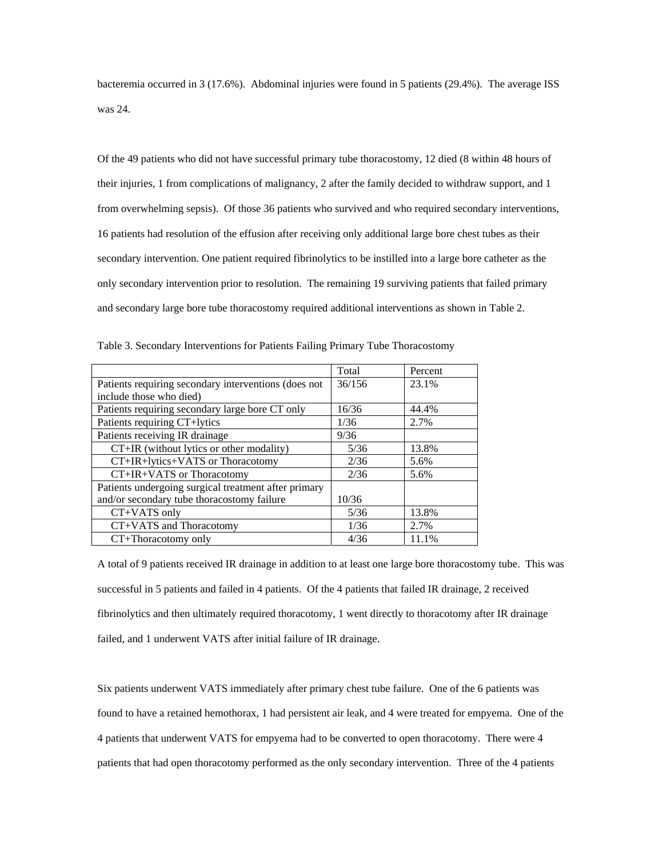bacteremia occurred in 3 (17.6%). Abdominal injuries were found in 5 patients (29.4%). The average ISS was 24.

Of the 49 patients who did not have successful primary tube thoracostomy, 12 died (8 within 48 hours of their injuries, 1 from complications of malignancy, 2 after the family decided to withdraw support, and 1 from overwhelming sepsis). Of those 36 patients who survived and who required secondary interventions, 16 patients had resolution of the effusion after receiving only additional large bore chest tubes as their secondary intervention. One patient required fibrinolytics to be instilled into a large bore catheter as the only secondary intervention prior to resolution. The remaining 19 surviving patients that failed primary and secondary large bore tube thoracostomy required additional interventions as shown in Table 2.

|                                                      | Total  | Percent |
|------------------------------------------------------|--------|---------|
| Patients requiring secondary interventions (does not | 36/156 | 23.1%   |
| include those who died)                              |        |         |
| Patients requiring secondary large bore CT only      | 16/36  | 44.4%   |
| Patients requiring CT+lytics                         | 1/36   | 2.7%    |
| Patients receiving IR drainage                       | 9/36   |         |
| CT+IR (without lytics or other modality)             | 5/36   | 13.8%   |
| CT+IR+lytics+VATS or Thoracotomy                     | 2/36   | 5.6%    |
| CT+IR+VATS or Thoracotomy                            | 2/36   | 5.6%    |
| Patients undergoing surgical treatment after primary |        |         |
| and/or secondary tube thoracostomy failure           | 10/36  |         |
| CT+VATS only                                         | 5/36   | 13.8%   |
| CT+VATS and Thoracotomy                              | 1/36   | 2.7%    |
| CT+Thoracotomy only                                  | 4/36   | 11.1%   |

Table 3. Secondary Interventions for Patients Failing Primary Tube Thoracostomy

A total of 9 patients received IR drainage in addition to at least one large bore thoracostomy tube. This was successful in 5 patients and failed in 4 patients. Of the 4 patients that failed IR drainage, 2 received fibrinolytics and then ultimately required thoracotomy, 1 went directly to thoracotomy after IR drainage failed, and 1 underwent VATS after initial failure of IR drainage.

Six patients underwent VATS immediately after primary chest tube failure. One of the 6 patients was found to have a retained hemothorax, 1 had persistent air leak, and 4 were treated for empyema. One of the 4 patients that underwent VATS for empyema had to be converted to open thoracotomy. There were 4 patients that had open thoracotomy performed as the only secondary intervention. Three of the 4 patients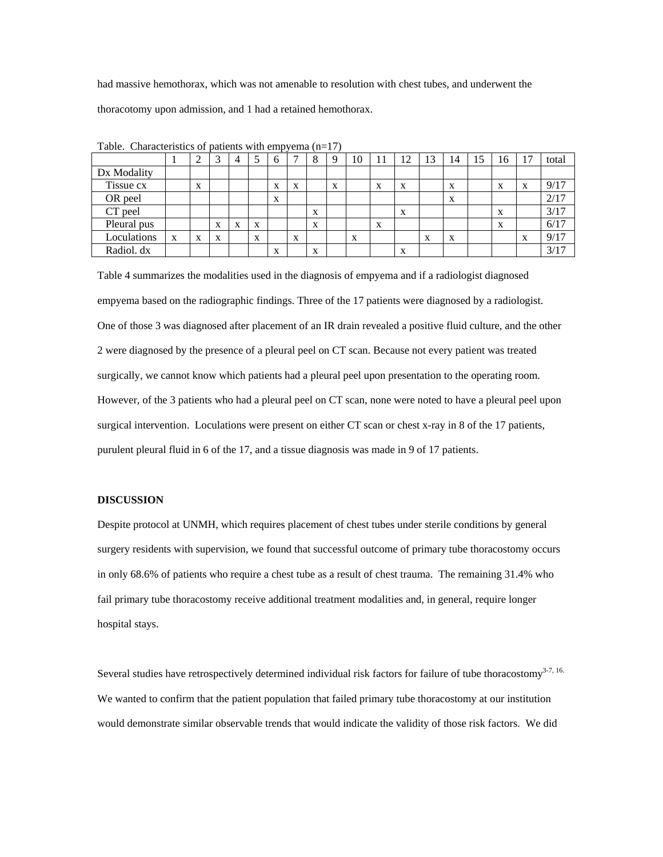had massive hemothorax, which was not amenable to resolution with chest tubes, and underwent the thoracotomy upon admission, and 1 had a retained hemothorax.

| racio: Characteristics or patients with emploint $\{n, 1\}$ |   |                           |                           |                           |   |                   |                   |   |          |    |   |         |    |    |    |                   |          |       |
|-------------------------------------------------------------|---|---------------------------|---------------------------|---------------------------|---|-------------------|-------------------|---|----------|----|---|---------|----|----|----|-------------------|----------|-------|
|                                                             |   |                           |                           | 4                         |   | O                 |                   | 8 | $\Omega$ | 10 |   | 12<br>∸ | 13 | 14 | 15 | 16                | 17       | total |
| Dx Modality                                                 |   |                           |                           |                           |   |                   |                   |   |          |    |   |         |    |    |    |                   |          |       |
| Tissue cx                                                   |   | $\mathbf{v}$<br>A         |                           |                           |   | $\mathbf{v}$<br>A | $\mathbf{v}$<br>A |   | X        |    | X | X       |    | X  |    | $\Delta$          |          | 9/17  |
| OR peel                                                     |   |                           |                           |                           |   | X                 |                   |   |          |    |   |         |    | X  |    |                   |          | 2/17  |
| CT peel                                                     |   |                           |                           |                           |   |                   |                   | X |          |    |   | X       |    |    |    | $\mathbf{v}$<br>л |          | 3/17  |
| Pleural pus                                                 |   |                           | $\mathbf{v}$<br>$\Lambda$ | $\mathbf{r}$<br>$\Lambda$ | X |                   |                   | X |          |    | X |         |    |    |    | $\mathbf{v}$<br>A |          | 6/17  |
| Loculations                                                 | X | $\mathbf{v}$<br>$\Lambda$ | $\mathbf{v}$<br>$\Lambda$ |                           | X |                   | X                 |   |          | X  |   |         | X  | X  |    |                   | $\Delta$ | 9/17  |
| Radiol. dx                                                  |   |                           |                           |                           |   | X                 |                   | X |          |    |   | X       |    |    |    |                   |          | 3/17  |

Table. Characteristics of patients with empyema  $(n=17)$ 

Table 4 summarizes the modalities used in the diagnosis of empyema and if a radiologist diagnosed empyema based on the radiographic findings. Three of the 17 patients were diagnosed by a radiologist. One of those 3 was diagnosed after placement of an IR drain revealed a positive fluid culture, and the other 2 were diagnosed by the presence of a pleural peel on CT scan. Because not every patient was treated surgically, we cannot know which patients had a pleural peel upon presentation to the operating room. However, of the 3 patients who had a pleural peel on CT scan, none were noted to have a pleural peel upon surgical intervention. Loculations were present on either CT scan or chest x-ray in 8 of the 17 patients, purulent pleural fluid in 6 of the 17, and a tissue diagnosis was made in 9 of 17 patients.

# **DISCUSSION**

Despite protocol at UNMH, which requires placement of chest tubes under sterile conditions by general surgery residents with supervision, we found that successful outcome of primary tube thoracostomy occurs in only 68.6% of patients who require a chest tube as a result of chest trauma. The remaining 31.4% who fail primary tube thoracostomy receive additional treatment modalities and, in general, require longer hospital stays.

Several studies have retrospectively determined individual risk factors for failure of tube thoracostomy<sup>3-7, 16.</sup> We wanted to confirm that the patient population that failed primary tube thoracostomy at our institution would demonstrate similar observable trends that would indicate the validity of those risk factors. We did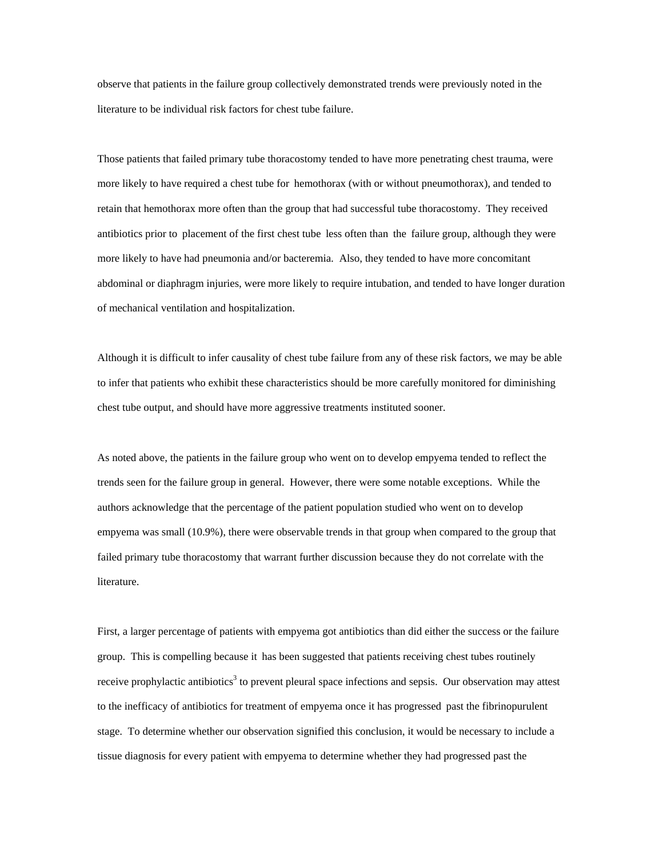observe that patients in the failure group collectively demonstrated trends were previously noted in the literature to be individual risk factors for chest tube failure.

Those patients that failed primary tube thoracostomy tended to have more penetrating chest trauma, were more likely to have required a chest tube for hemothorax (with or without pneumothorax), and tended to retain that hemothorax more often than the group that had successful tube thoracostomy. They received antibiotics prior to placement of the first chest tube less often than the failure group, although they were more likely to have had pneumonia and/or bacteremia. Also, they tended to have more concomitant abdominal or diaphragm injuries, were more likely to require intubation, and tended to have longer duration of mechanical ventilation and hospitalization.

Although it is difficult to infer causality of chest tube failure from any of these risk factors, we may be able to infer that patients who exhibit these characteristics should be more carefully monitored for diminishing chest tube output, and should have more aggressive treatments instituted sooner.

As noted above, the patients in the failure group who went on to develop empyema tended to reflect the trends seen for the failure group in general. However, there were some notable exceptions. While the authors acknowledge that the percentage of the patient population studied who went on to develop empyema was small (10.9%), there were observable trends in that group when compared to the group that failed primary tube thoracostomy that warrant further discussion because they do not correlate with the literature.

First, a larger percentage of patients with empyema got antibiotics than did either the success or the failure group. This is compelling because it has been suggested that patients receiving chest tubes routinely receive prophylactic antibiotics<sup>3</sup> to prevent pleural space infections and sepsis. Our observation may attest to the inefficacy of antibiotics for treatment of empyema once it has progressed past the fibrinopurulent stage. To determine whether our observation signified this conclusion, it would be necessary to include a tissue diagnosis for every patient with empyema to determine whether they had progressed past the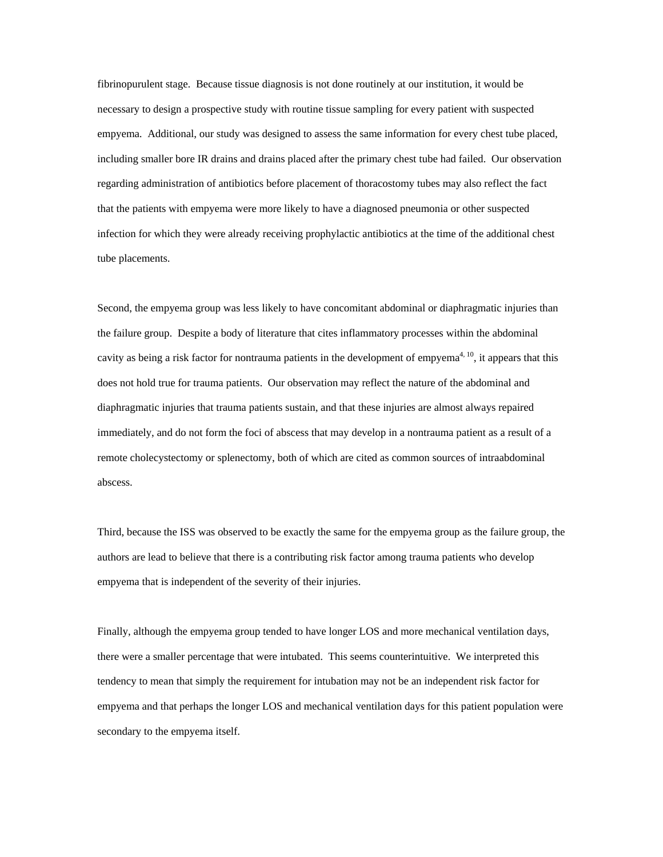fibrinopurulent stage. Because tissue diagnosis is not done routinely at our institution, it would be necessary to design a prospective study with routine tissue sampling for every patient with suspected empyema. Additional, our study was designed to assess the same information for every chest tube placed, including smaller bore IR drains and drains placed after the primary chest tube had failed. Our observation regarding administration of antibiotics before placement of thoracostomy tubes may also reflect the fact that the patients with empyema were more likely to have a diagnosed pneumonia or other suspected infection for which they were already receiving prophylactic antibiotics at the time of the additional chest tube placements.

Second, the empyema group was less likely to have concomitant abdominal or diaphragmatic injuries than the failure group. Despite a body of literature that cites inflammatory processes within the abdominal cavity as being a risk factor for nontrauma patients in the development of empyema<sup>4, 10</sup>, it appears that this does not hold true for trauma patients. Our observation may reflect the nature of the abdominal and diaphragmatic injuries that trauma patients sustain, and that these injuries are almost always repaired immediately, and do not form the foci of abscess that may develop in a nontrauma patient as a result of a remote cholecystectomy or splenectomy, both of which are cited as common sources of intraabdominal abscess.

Third, because the ISS was observed to be exactly the same for the empyema group as the failure group, the authors are lead to believe that there is a contributing risk factor among trauma patients who develop empyema that is independent of the severity of their injuries.

Finally, although the empyema group tended to have longer LOS and more mechanical ventilation days, there were a smaller percentage that were intubated. This seems counterintuitive. We interpreted this tendency to mean that simply the requirement for intubation may not be an independent risk factor for empyema and that perhaps the longer LOS and mechanical ventilation days for this patient population were secondary to the empyema itself.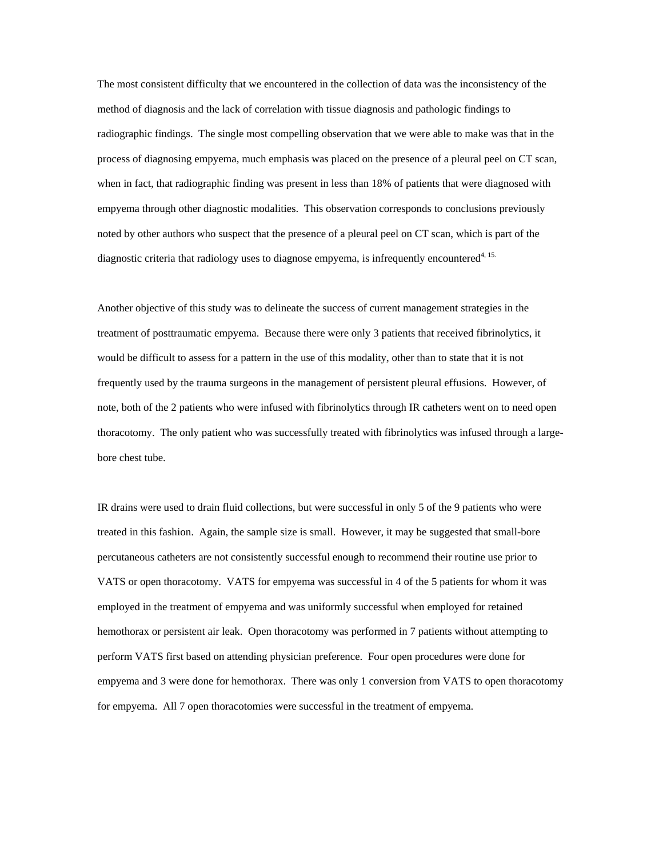The most consistent difficulty that we encountered in the collection of data was the inconsistency of the method of diagnosis and the lack of correlation with tissue diagnosis and pathologic findings to radiographic findings. The single most compelling observation that we were able to make was that in the process of diagnosing empyema, much emphasis was placed on the presence of a pleural peel on CT scan, when in fact, that radiographic finding was present in less than 18% of patients that were diagnosed with empyema through other diagnostic modalities. This observation corresponds to conclusions previously noted by other authors who suspect that the presence of a pleural peel on CT scan, which is part of the diagnostic criteria that radiology uses to diagnose empyema, is infrequently encountered<sup>4, 15.</sup>

Another objective of this study was to delineate the success of current management strategies in the treatment of posttraumatic empyema. Because there were only 3 patients that received fibrinolytics, it would be difficult to assess for a pattern in the use of this modality, other than to state that it is not frequently used by the trauma surgeons in the management of persistent pleural effusions. However, of note, both of the 2 patients who were infused with fibrinolytics through IR catheters went on to need open thoracotomy. The only patient who was successfully treated with fibrinolytics was infused through a largebore chest tube.

IR drains were used to drain fluid collections, but were successful in only 5 of the 9 patients who were treated in this fashion. Again, the sample size is small. However, it may be suggested that small-bore percutaneous catheters are not consistently successful enough to recommend their routine use prior to VATS or open thoracotomy. VATS for empyema was successful in 4 of the 5 patients for whom it was employed in the treatment of empyema and was uniformly successful when employed for retained hemothorax or persistent air leak. Open thoracotomy was performed in 7 patients without attempting to perform VATS first based on attending physician preference. Four open procedures were done for empyema and 3 were done for hemothorax. There was only 1 conversion from VATS to open thoracotomy for empyema. All 7 open thoracotomies were successful in the treatment of empyema.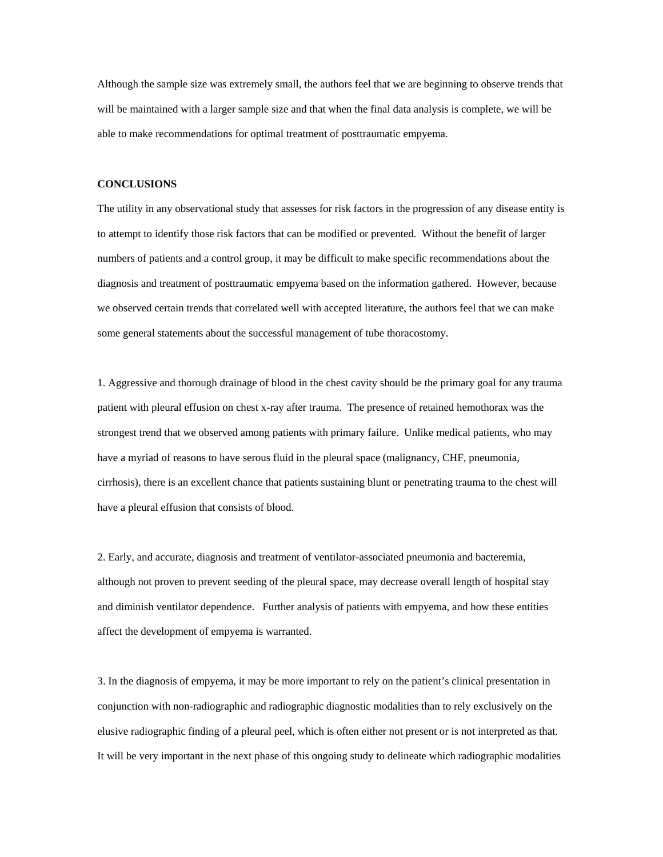Although the sample size was extremely small, the authors feel that we are beginning to observe trends that will be maintained with a larger sample size and that when the final data analysis is complete, we will be able to make recommendations for optimal treatment of posttraumatic empyema.

## **CONCLUSIONS**

The utility in any observational study that assesses for risk factors in the progression of any disease entity is to attempt to identify those risk factors that can be modified or prevented. Without the benefit of larger numbers of patients and a control group, it may be difficult to make specific recommendations about the diagnosis and treatment of posttraumatic empyema based on the information gathered. However, because we observed certain trends that correlated well with accepted literature, the authors feel that we can make some general statements about the successful management of tube thoracostomy.

1. Aggressive and thorough drainage of blood in the chest cavity should be the primary goal for any trauma patient with pleural effusion on chest x-ray after trauma. The presence of retained hemothorax was the strongest trend that we observed among patients with primary failure. Unlike medical patients, who may have a myriad of reasons to have serous fluid in the pleural space (malignancy, CHF, pneumonia, cirrhosis), there is an excellent chance that patients sustaining blunt or penetrating trauma to the chest will have a pleural effusion that consists of blood.

2. Early, and accurate, diagnosis and treatment of ventilator-associated pneumonia and bacteremia, although not proven to prevent seeding of the pleural space, may decrease overall length of hospital stay and diminish ventilator dependence. Further analysis of patients with empyema, and how these entities affect the development of empyema is warranted.

3. In the diagnosis of empyema, it may be more important to rely on the patient's clinical presentation in conjunction with non-radiographic and radiographic diagnostic modalities than to rely exclusively on the elusive radiographic finding of a pleural peel, which is often either not present or is not interpreted as that. It will be very important in the next phase of this ongoing study to delineate which radiographic modalities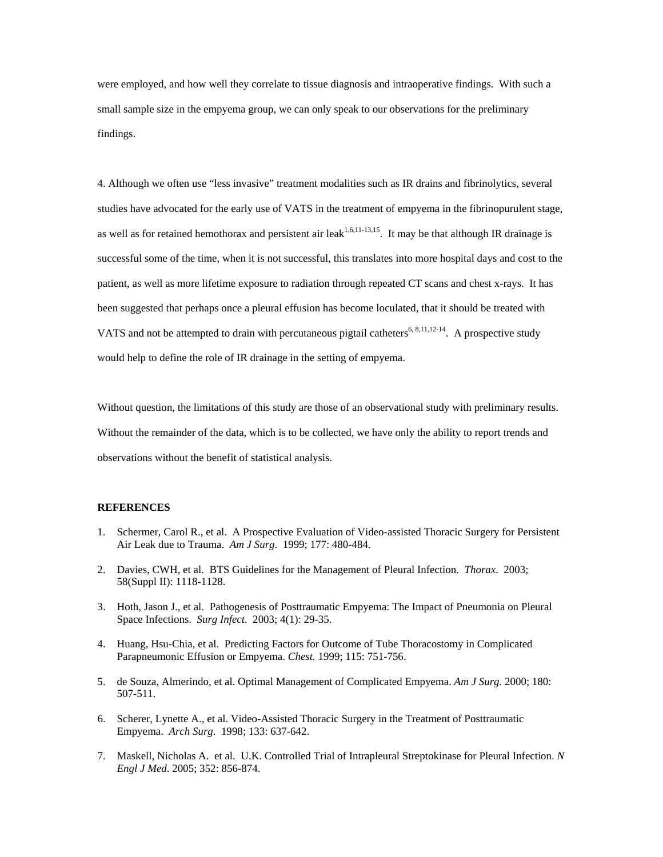were employed, and how well they correlate to tissue diagnosis and intraoperative findings. With such a small sample size in the empyema group, we can only speak to our observations for the preliminary findings.

4. Although we often use "less invasive" treatment modalities such as IR drains and fibrinolytics, several studies have advocated for the early use of VATS in the treatment of empyema in the fibrinopurulent stage, as well as for retained hemothorax and persistent air leak<sup>1,6,11-13,15</sup>. It may be that although IR drainage is successful some of the time, when it is not successful, this translates into more hospital days and cost to the patient, as well as more lifetime exposure to radiation through repeated CT scans and chest x-rays. It has been suggested that perhaps once a pleural effusion has become loculated, that it should be treated with VATS and not be attempted to drain with percutaneous pigtail catheters<sup>6, 8,11,12-14</sup>. A prospective study would help to define the role of IR drainage in the setting of empyema.

Without question, the limitations of this study are those of an observational study with preliminary results. Without the remainder of the data, which is to be collected, we have only the ability to report trends and observations without the benefit of statistical analysis.

## **REFERENCES**

- 1. Schermer, Carol R., et al. A Prospective Evaluation of Video-assisted Thoracic Surgery for Persistent Air Leak due to Trauma. *Am J Surg*. 1999; 177: 480-484.
- 2. Davies, CWH, et al. BTS Guidelines for the Management of Pleural Infection. *Thorax*. 2003; 58(Suppl II): 1118-1128.
- 3. Hoth, Jason J., et al. Pathogenesis of Posttraumatic Empyema: The Impact of Pneumonia on Pleural Space Infections. *Surg Infect*. 2003; 4(1): 29-35.
- 4. Huang, Hsu-Chia, et al. Predicting Factors for Outcome of Tube Thoracostomy in Complicated Parapneumonic Effusion or Empyema. *Chest.* 1999; 115: 751-756.
- 5. de Souza, Almerindo, et al. Optimal Management of Complicated Empyema. *Am J Surg.* 2000; 180: 507-511.
- 6. Scherer, Lynette A., et al. Video-Assisted Thoracic Surgery in the Treatment of Posttraumatic Empyema. *Arch Surg*. 1998; 133: 637-642.
- 7. Maskell, Nicholas A. et al. U.K. Controlled Trial of Intrapleural Streptokinase for Pleural Infection. *N Engl J Med*. 2005; 352: 856-874.